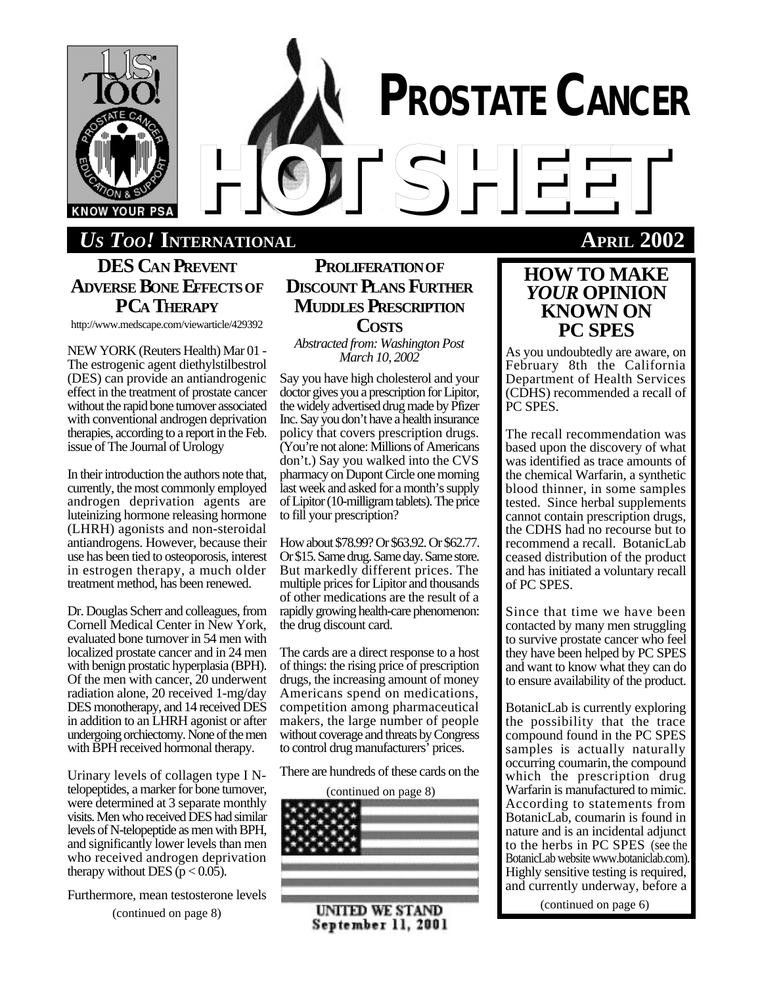

# **DES CAN PREVENT ADVERSE BONE EFFECTSOF PCA THERAPY**

http://www.medscape.com/viewarticle/429392

NEW YORK (Reuters Health) Mar 01 - The estrogenic agent diethylstilbestrol (DES) can provide an antiandrogenic effect in the treatment of prostate cancer without the rapid bone turnover associated with conventional androgen deprivation therapies, according to a report in the Feb. issue of The Journal of Urology

In their introduction the authors note that, currently, the most commonly employed androgen deprivation agents are luteinizing hormone releasing hormone (LHRH) agonists and non-steroidal antiandrogens. However, because their use has been tied to osteoporosis, interest in estrogen therapy, a much older treatment method, has been renewed.

Dr. Douglas Scherr and colleagues, from Cornell Medical Center in New York, evaluated bone turnover in 54 men with localized prostate cancer and in 24 men with benign prostatic hyperplasia (BPH). Of the men with cancer, 20 underwent radiation alone, 20 received 1-mg/day DES monotherapy, and 14 received DES in addition to an LHRH agonist or after undergoing orchiectomy. None of the men with BPH received hormonal therapy.

Urinary levels of collagen type I Ntelopeptides, a marker for bone turnover, were determined at 3 separate monthly visits. Men who received DES had similar levels of N-telopeptide as men with BPH, and significantly lower levels than men who received androgen deprivation therapy without DES ( $p < 0.05$ ).

Furthermore, mean testosterone levels

(continued on page 8)

# **PROLIFERATIONOF DISCOUNT PLANS FURTHER MUDDLES PRESCRIPTION COSTS**

*Abstracted from: Washington Post March 10, 2002*

Say you have high cholesterol and your doctor gives you a prescription for Lipitor, the widely advertised drug made by Pfizer Inc. Say you don't have a health insurance policy that covers prescription drugs. (You're not alone: Millions of Americans don't.) Say you walked into the CVS pharmacy on Dupont Circle one morning last week and asked for a month's supply of Lipitor (10-milligram tablets). The price to fill your prescription?

How about \$78.99? Or \$63.92. Or \$62.77. Or \$15. Same drug. Same day. Same store. But markedly different prices. The multiple prices for Lipitor and thousands of other medications are the result of a rapidly growing health-care phenomenon: the drug discount card.

The cards are a direct response to a host of things: the rising price of prescription drugs, the increasing amount of money Americans spend on medications, competition among pharmaceutical makers, the large number of people without coverage and threats by Congress to control drug manufacturers' prices.

There are hundreds of these cards on the



# September 11, 2001

# *HOTSHEET US TOO!* **INTERNATIONAL APRIL 2002**

# **HOW TO MAKE** *YOUR* **OPINION KNOWN ON PC SPES**

**PROSTATE CANCER**

As you undoubtedly are aware, on February 8th the California Department of Health Services (CDHS) recommended a recall of PC SPES.

The recall recommendation was based upon the discovery of what was identified as trace amounts of the chemical Warfarin, a synthetic blood thinner, in some samples tested. Since herbal supplements cannot contain prescription drugs, the CDHS had no recourse but to recommend a recall. BotanicLab ceased distribution of the product and has initiated a voluntary recall of PC SPES.

Since that time we have been contacted by many men struggling to survive prostate cancer who feel they have been helped by PC SPES and want to know what they can do to ensure availability of the product.

BotanicLab is currently exploring the possibility that the trace compound found in the PC SPES samples is actually naturally occurring coumarin, the compound which the prescription drug Warfarin is manufactured to mimic. According to statements from BotanicLab, coumarin is found in nature and is an incidental adjunct to the herbs in PC SPES (see the BotanicLab website www.botaniclab.com). Highly sensitive testing is required, and currently underway, before a

(continued on page 6)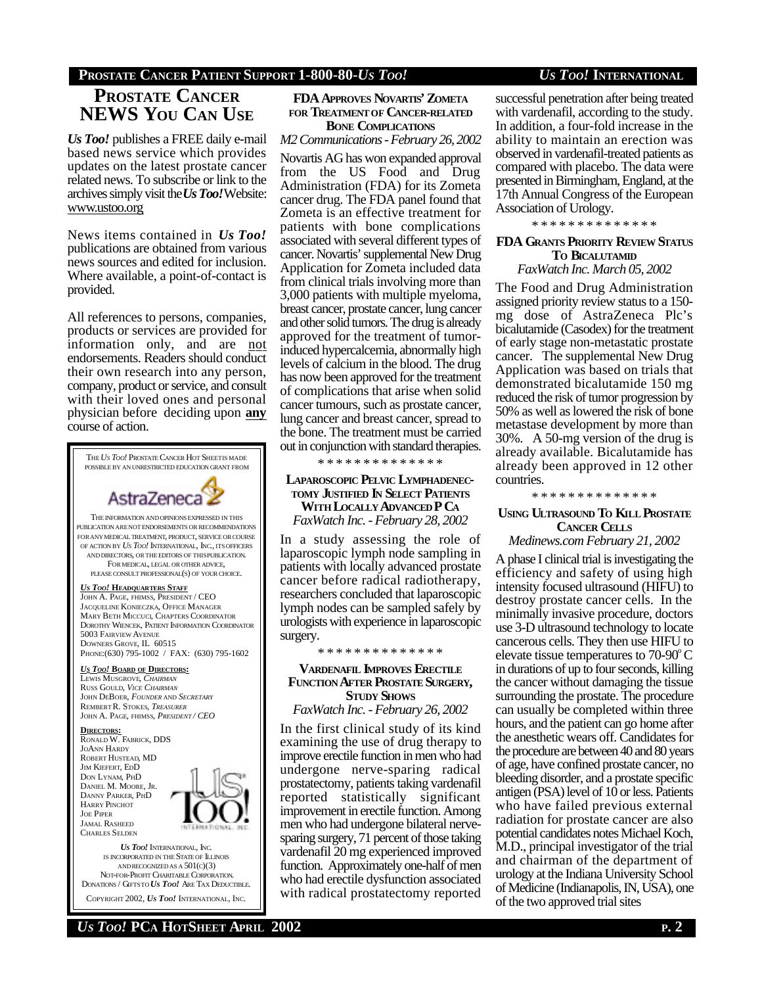### **PROSTATE CANCER PATIENT SUPPORT 1-800-80-***US TOO! US TOO!* **INTERNATIONAL**

# **PROSTATE CANCER NEWS YOU CAN USE**

*Us Too!* publishes a FREE daily e-mail based news service which provides updates on the latest prostate cancer related news. To subscribe or link to the archives simply visit the *Us Too!* Website: www.ustoo.org

News items contained in *Us Too!* publications are obtained from various news sources and edited for inclusion. Where available, a point-of-contact is provided.

All references to persons, companies, products or services are provided for information only, and are not endorsements. Readers should conduct their own research into any person, company, product or service, and consult with their loved ones and personal physician before deciding upon **any** course of action.



COPYRIGHT 2002, *US TOO!* INTERNATIONAL, INC.

### **FDA APPROVES NOVARTIS' ZOMETA FOR TREATMENTOF CANCER-RELATED BONE COMPLICATIONS**

*M2 Communications - February 26, 2002*

Novartis AG has won expanded approval from the US Food and Drug Administration (FDA) for its Zometa cancer drug. The FDA panel found that Zometa is an effective treatment for patients with bone complications associated with several different types of cancer. Novartis' supplemental New Drug Application for Zometa included data from clinical trials involving more than 3,000 patients with multiple myeloma, breast cancer, prostate cancer, lung cancer and other solid tumors. The drug is already approved for the treatment of tumorinduced hypercalcemia, abnormally high levels of calcium in the blood. The drug has now been approved for the treatment of complications that arise when solid cancer tumours, such as prostate cancer, lung cancer and breast cancer, spread to the bone. The treatment must be carried out in conjunction with standard therapies.

\* \* \* \* \* \* \* \* \* \* \* \* \* \*

**LAPAROSCOPIC PELVIC LYMPHADENEC-TOMY JUSTIFIED IN SELECT PATIENTS WITH LOCALLY ADVANCED P CA** *FaxWatch Inc. - February 28, 2002*

In a study assessing the role of laparoscopic lymph node sampling in patients with locally advanced prostate cancer before radical radiotherapy, researchers concluded that laparoscopic lymph nodes can be sampled safely by urologists with experience in laparoscopic surgery.

**VARDENAFIL IMPROVES ERECTILE FUNCTION AFTER PROSTATE SURGERY, STUDY SHOWS**

\* \* \* \* \* \* \* \* \* \* \* \* \* \*

*FaxWatch Inc. - February 26, 2002*

In the first clinical study of its kind examining the use of drug therapy to improve erectile function in men who had undergone nerve-sparing radical prostatectomy, patients taking vardenafil reported statistically significant improvement in erectile function. Among men who had undergone bilateral nervesparing surgery, 71 percent of those taking vardenafil 20 mg experienced improved function. Approximately one-half of men who had erectile dysfunction associated with radical prostatectomy reported successful penetration after being treated with vardenafil, according to the study. In addition, a four-fold increase in the ability to maintain an erection was observed in vardenafil-treated patients as compared with placebo. The data were presented in Birmingham, England, at the 17th Annual Congress of the European Association of Urology.

\* \* \* \* \* \* \* \* \* \* \* \* \* \*

### **FDA GRANTS PRIORITY REVIEW STATUS TO BICALUTAMID**

*FaxWatch Inc. March 05, 2002*

The Food and Drug Administration assigned priority review status to a 150 mg dose of AstraZeneca Plc's bicalutamide (Casodex) for the treatment of early stage non-metastatic prostate cancer. The supplemental New Drug Application was based on trials that demonstrated bicalutamide 150 mg reduced the risk of tumor progression by 50% as well as lowered the risk of bone metastase development by more than 30%. A 50-mg version of the drug is already available. Bicalutamide has already been approved in 12 other countries.

\* \* \* \* \* \* \* \* \* \* \* \* \* \*

### **USING ULTRASOUND TO KILL PROSTATE CANCER CELLS**

*Medinews.com February 21, 2002*

A phase I clinical trial is investigating the efficiency and safety of using high intensity focused ultrasound (HIFU) to destroy prostate cancer cells. In the minimally invasive procedure, doctors use 3-D ultrasound technology to locate cancerous cells. They then use HIFU to elevate tissue temperatures to  $70-90^{\circ}$  C in durations of up to four seconds, killing the cancer without damaging the tissue surrounding the prostate. The procedure can usually be completed within three hours, and the patient can go home after the anesthetic wears off. Candidates for the procedure are between 40 and 80 years of age, have confined prostate cancer, no bleeding disorder, and a prostate specific antigen (PSA) level of 10 or less. Patients who have failed previous external radiation for prostate cancer are also potential candidates notes Michael Koch, M.D., principal investigator of the trial and chairman of the department of urology at the Indiana University School of Medicine (Indianapolis, IN, USA), one of the two approved trial sites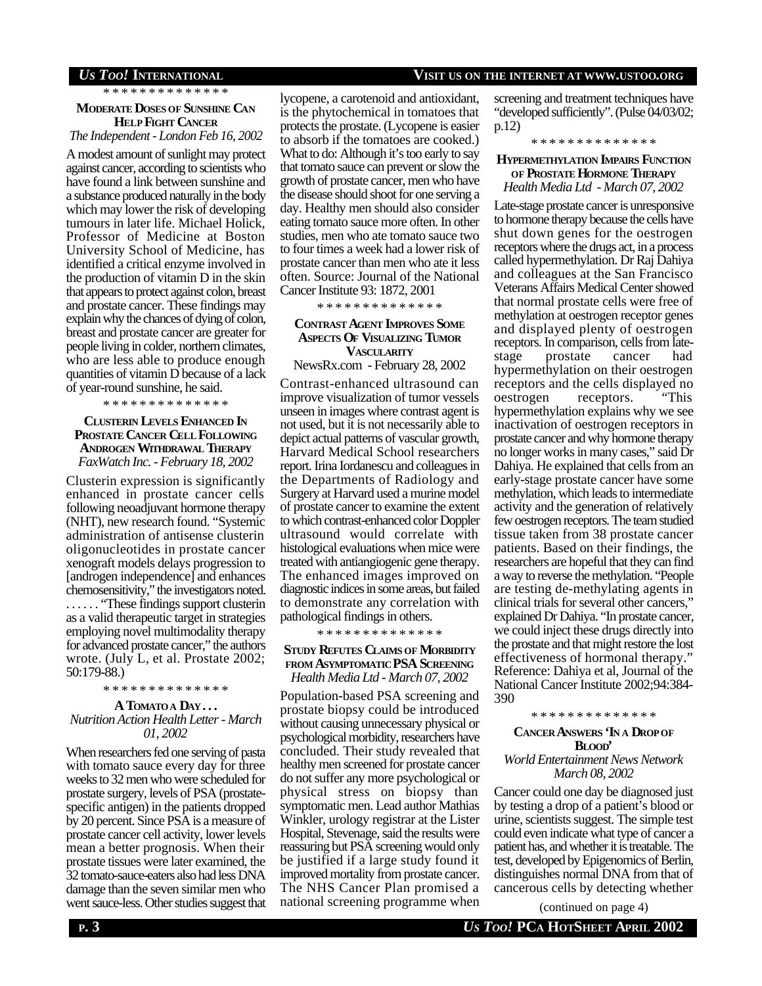\* \* \* \* \* \* \* \* \* \* \* \* \* \*

### **MODERATE DOSES OF SUNSHINE CAN HELP FIGHT CANCER**

*The Independent - London Feb 16, 2002*

A modest amount of sunlight may protect against cancer, according to scientists who have found a link between sunshine and a substance produced naturally in the body which may lower the risk of developing tumours in later life. Michael Holick, Professor of Medicine at Boston University School of Medicine, has identified a critical enzyme involved in the production of vitamin D in the skin that appears to protect against colon, breast and prostate cancer. These findings may explain why the chances of dying of colon, breast and prostate cancer are greater for people living in colder, northern climates, who are less able to produce enough quantities of vitamin D because of a lack of year-round sunshine, he said.

\* \* \* \* \* \* \* \* \* \* \* \* \* \*

### **CLUSTERIN LEVELS ENHANCED IN PROSTATE CANCER CELL FOLLOWING ANDROGEN WITHDRAWAL THERAPY** *FaxWatch Inc. - February 18, 2002*

Clusterin expression is significantly enhanced in prostate cancer cells following neoadjuvant hormone therapy (NHT), new research found. "Systemic administration of antisense clusterin oligonucleotides in prostate cancer xenograft models delays progression to [androgen independence] and enhances chemosensitivity," the investigators noted. . . . . . . "These findings support clusterin as a valid therapeutic target in strategies employing novel multimodality therapy for advanced prostate cancer," the authors wrote. (July L, et al. Prostate 2002; 50:179-88.)

\* \* \* \* \* \* \* \* \* \* \* \* \* \*

### **A TOMATOA DAY . . .**

*Nutrition Action Health Letter - March 01, 2002*

When researchers fed one serving of pasta with tomato sauce every day for three weeks to 32 men who were scheduled for prostate surgery, levels of PSA (prostatespecific antigen) in the patients dropped by 20 percent. Since PSA is a measure of prostate cancer cell activity, lower levels mean a better prognosis. When their prostate tissues were later examined, the 32 tomato-sauce-eaters also had less DNA damage than the seven similar men who went sauce-less. Other studies suggest that

lycopene, a carotenoid and antioxidant, is the phytochemical in tomatoes that protects the prostate. (Lycopene is easier to absorb if the tomatoes are cooked.) What to do: Although it's too early to say that tomato sauce can prevent or slow the growth of prostate cancer, men who have the disease should shoot for one serving a day. Healthy men should also consider eating tomato sauce more often. In other studies, men who ate tomato sauce two to four times a week had a lower risk of prostate cancer than men who ate it less often. Source: Journal of the National Cancer Institute 93: 1872, 2001

\* \* \* \* \* \* \* \* \* \* \* \* \* \*

### **CONTRAST AGENT IMPROVES SOME ASPECTS OF VISUALIZING TUMOR VASCULARITY**

NewsRx.com - February 28, 2002

Contrast-enhanced ultrasound can improve visualization of tumor vessels unseen in images where contrast agent is not used, but it is not necessarily able to depict actual patterns of vascular growth, Harvard Medical School researchers report. Irina Iordanescu and colleagues in the Departments of Radiology and Surgery at Harvard used a murine model of prostate cancer to examine the extent to which contrast-enhanced color Doppler ultrasound would correlate with histological evaluations when mice were treated with antiangiogenic gene therapy. The enhanced images improved on diagnostic indices in some areas, but failed to demonstrate any correlation with pathological findings in others.

\* \* \* \* \* \* \* \* \* \* \* \* \* \*

### **STUDY REFUTES CLAIMS OF MORBIDITY FROM ASYMPTOMATIC PSA SCREENING** *Health Media Ltd - March 07, 2002*

Population-based PSA screening and prostate biopsy could be introduced without causing unnecessary physical or psychological morbidity, researchers have concluded. Their study revealed that healthy men screened for prostate cancer do not suffer any more psychological or physical stress on biopsy than symptomatic men. Lead author Mathias Winkler, urology registrar at the Lister Hospital, Stevenage, said the results were reassuring but PSA screening would only be justified if a large study found it improved mortality from prostate cancer. The NHS Cancer Plan promised a national screening programme when

### *US TOO!* **INTERNATIONAL VISIT US ON THE INTERNET AT WWW.USTOO.ORG**

screening and treatment techniques have "developed sufficiently". (Pulse 04/03/02; p.12)

\* \* \* \* \* \* \* \* \* \* \* \* \* \*

### **HYPERMETHYLATION IMPAIRS FUNCTION OF PROSTATE HORMONE THERAPY** *Health Media Ltd - March 07, 2002*

Late-stage prostate cancer is unresponsive to hormone therapy because the cells have shut down genes for the oestrogen receptors where the drugs act, in a process called hypermethylation. Dr Raj Dahiya and colleagues at the San Francisco Veterans Affairs Medical Center showed that normal prostate cells were free of methylation at oestrogen receptor genes and displayed plenty of oestrogen receptors. In comparison, cells from latestage prostate cancer had hypermethylation on their oestrogen receptors and the cells displayed no oestrogen receptors. "This hypermethylation explains why we see inactivation of oestrogen receptors in prostate cancer and why hormone therapy no longer works in many cases," said Dr Dahiya. He explained that cells from an early-stage prostate cancer have some methylation, which leads to intermediate activity and the generation of relatively few oestrogen receptors. The team studied tissue taken from 38 prostate cancer patients. Based on their findings, the researchers are hopeful that they can find a way to reverse the methylation. "People are testing de-methylating agents in clinical trials for several other cancers," explained Dr Dahiya. "In prostate cancer, we could inject these drugs directly into the prostate and that might restore the lost effectiveness of hormonal therapy." Reference: Dahiya et al, Journal of the National Cancer Institute 2002;94:384- 390

### \* \* \* \* \* \* \* \* \* \* \* \* \* \*

### **CANCER ANSWERS 'IN A DROPOF BLOOD'**

### *World Entertainment News Network March 08, 2002*

Cancer could one day be diagnosed just by testing a drop of a patient's blood or urine, scientists suggest. The simple test could even indicate what type of cancer a patient has, and whether it is treatable. The test, developed by Epigenomics of Berlin, distinguishes normal DNA from that of cancerous cells by detecting whether

(continued on page 4)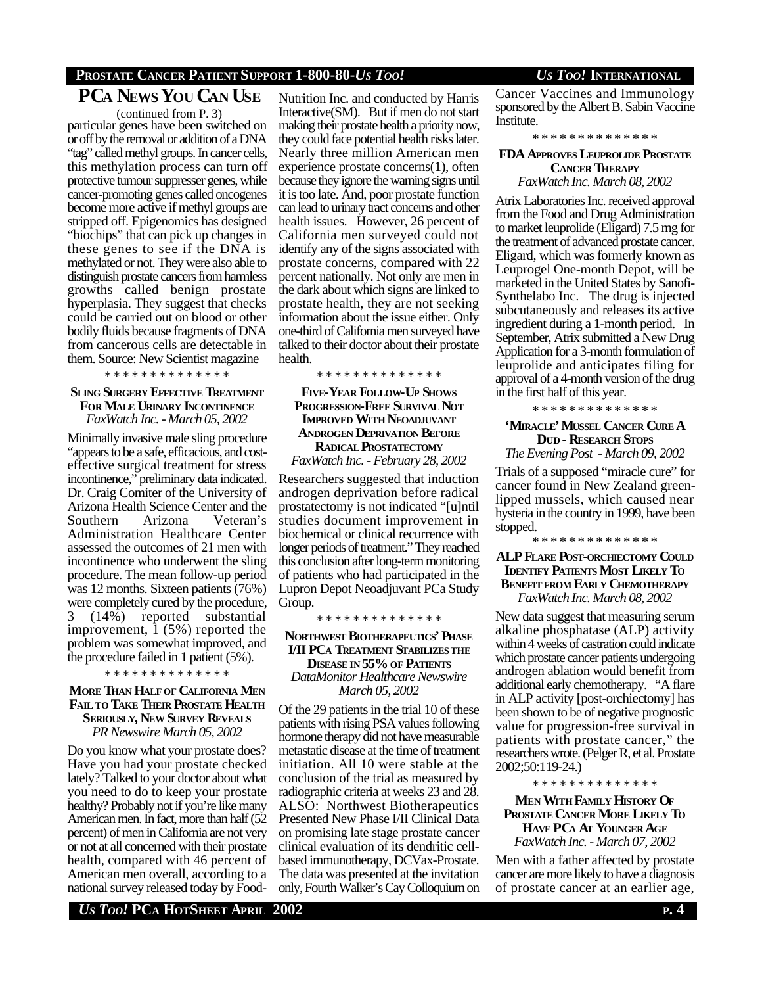### **PROSTATE CANCER PATIENT SUPPORT 1-800-80-***US TOO! US TOO!* **INTERNATIONAL**

## **PCA NEWS YOU CAN USE**

particular genes have been switched on or off by the removal or addition of a DNA "tag" called methyl groups. In cancer cells, this methylation process can turn off protective tumour suppresser genes, while cancer-promoting genes called oncogenes become more active if methyl groups are stripped off. Epigenomics has designed "biochips" that can pick up changes in these genes to see if the DNA is methylated or not. They were also able to distinguish prostate cancers from harmless growths called benign prostate hyperplasia. They suggest that checks could be carried out on blood or other bodily fluids because fragments of DNA from cancerous cells are detectable in them. Source: New Scientist magazine (continued from P. 3)

\* \* \* \* \* \* \* \* \* \* \* \* \* \*

### **SLING SURGERY EFFECTIVE TREATMENT FOR MALE URINARY INCONTINENCE** *FaxWatch Inc. - March 05, 2002*

Minimally invasive male sling procedure "appears to be a safe, efficacious, and costeffective surgical treatment for stress incontinence," preliminary data indicated. Dr. Craig Comiter of the University of Arizona Health Science Center and the Southern Arizona Veteran's Administration Healthcare Center assessed the outcomes of 21 men with incontinence who underwent the sling procedure. The mean follow-up period was 12 months. Sixteen patients (76%) were completely cured by the procedure, 3 (14%) reported substantial improvement, 1 (5%) reported the problem was somewhat improved, and the procedure failed in 1 patient (5%).

\* \* \* \* \* \* \* \* \* \* \* \* \*

### **MORE THAN HALFOF CALIFORNIA MEN FAIL TO TAKE THEIR PROSTATE HEALTH SERIOUSLY, NEW SURVEY REVEALS**

*PR Newswire March 05, 2002*

Do you know what your prostate does? Have you had your prostate checked lately? Talked to your doctor about what you need to do to keep your prostate healthy? Probably not if you're like many American men. In fact, more than half (52 percent) of men in California are not very or not at all concerned with their prostate health, compared with 46 percent of American men overall, according to a national survey released today by Food-

Nutrition Inc. and conducted by Harris Interactive(SM). But if men do not start making their prostate health a priority now, they could face potential health risks later. Nearly three million American men experience prostate concerns(1), often because they ignore the warning signs until it is too late. And, poor prostate function can lead to urinary tract concerns and other health issues. However, 26 percent of California men surveyed could not identify any of the signs associated with prostate concerns, compared with 22 percent nationally. Not only are men in the dark about which signs are linked to prostate health, they are not seeking information about the issue either. Only one-third of California men surveyed have talked to their doctor about their prostate health.

\* \* \* \* \* \* \* \* \* \* \* \* \* \*

**FIVE-YEAR FOLLOW-UP SHOWS PROGRESSION-FREE SURVIVAL NOT IMPROVED WITH NEOADJUVANT ANDROGEN DEPRIVATION BEFORE RADICAL PROSTATECTOMY** *FaxWatch Inc. - February 28, 2002*

Researchers suggested that induction androgen deprivation before radical prostatectomy is not indicated "[u]ntil studies document improvement in biochemical or clinical recurrence with longer periods of treatment." They reached this conclusion after long-term monitoring of patients who had participated in the Lupron Depot Neoadjuvant PCa Study Group.

\* \* \* \* \* \* \* \* \* \* \* \* \* \*

### **NORTHWEST BIOTHERAPEUTICS' PHASE I/II PCA TREATMENT STABILIZESTHE DISEASE IN 55% OF PATIENTS** *DataMonitor Healthcare Newswire March 05, 2002*

Of the 29 patients in the trial 10 of these patients with rising PSA values following hormone therapy did not have measurable metastatic disease at the time of treatment initiation. All 10 were stable at the conclusion of the trial as measured by radiographic criteria at weeks 23 and 28. ALSO: Northwest Biotherapeutics Presented New Phase I/II Clinical Data on promising late stage prostate cancer clinical evaluation of its dendritic cellbased immunotherapy, DCVax-Prostate. The data was presented at the invitation only, Fourth Walker's Cay Colloquium on

Cancer Vaccines and Immunology sponsored by the Albert B. Sabin Vaccine Institute.

\* \* \* \* \* \* \* \* \* \* \* \* \* \*

### **FDA APPROVES LEUPROLIDE PROSTATE CANCER THERAPY** *FaxWatch Inc. March 08, 2002*

Atrix Laboratories Inc. received approval from the Food and Drug Administration to market leuprolide (Eligard) 7.5 mg for the treatment of advanced prostate cancer. Eligard, which was formerly known as Leuprogel One-month Depot, will be marketed in the United States by Sanofi-Synthelabo Inc. The drug is injected subcutaneously and releases its active ingredient during a 1-month period. In September, Atrix submitted a New Drug Application for a 3-month formulation of leuprolide and anticipates filing for approval of a 4-month version of the drug in the first half of this year.

\* \* \* \* \* \* \* \* \* \* \* \* \* \*

### **'MIRACLE' MUSSEL CANCER CURE A DUD - RESEARCH STOPS**

*The Evening Post - March 09, 2002*

Trials of a supposed "miracle cure" for cancer found in New Zealand greenlipped mussels, which caused near hysteria in the country in 1999, have been stopped.

### **ALP FLARE POST-ORCHIECTOMY COULD IDENTIFY PATIENTS MOST LIKELY TO BENEFITFROM EARLY CHEMOTHERAPY** *FaxWatch Inc. March 08, 2002*

\* \* \* \* \* \* \* \* \* \* \* \* \* \*

New data suggest that measuring serum alkaline phosphatase (ALP) activity within 4 weeks of castration could indicate which prostate cancer patients undergoing androgen ablation would benefit from additional early chemotherapy. "A flare in ALP activity [post-orchiectomy] has been shown to be of negative prognostic value for progression-free survival in patients with prostate cancer," the researchers wrote. (Pelger R, et al. Prostate 2002;50:119-24.)

\* \* \* \* \* \* \* \* \* \* \* \* \* \*

**MEN WITH FAMILY HISTORY OF PROSTATE CANCER MORE LIKELY TO HAVE PCA AT YOUNGER AGE** *FaxWatch Inc. - March 07, 2002*

Men with a father affected by prostate cancer are more likely to have a diagnosis of prostate cancer at an earlier age,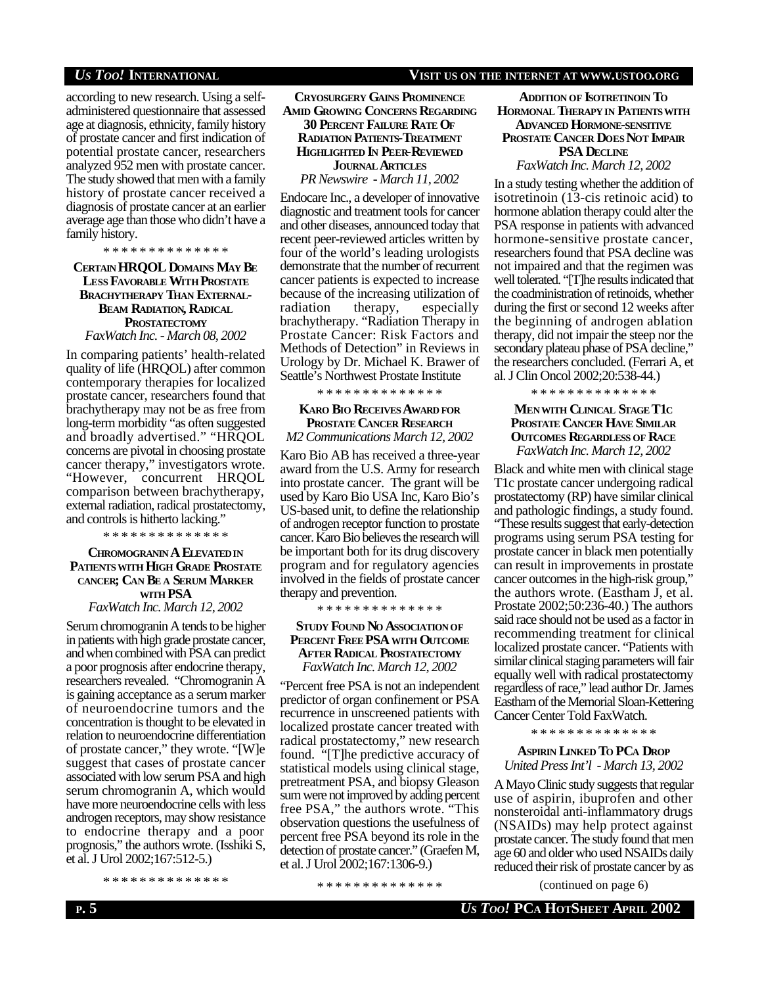according to new research. Using a selfadministered questionnaire that assessed age at diagnosis, ethnicity, family history of prostate cancer and first indication of potential prostate cancer, researchers analyzed 952 men with prostate cancer. The study showed that men with a family history of prostate cancer received a diagnosis of prostate cancer at an earlier average age than those who didn't have a family history.

\* \* \* \* \* \* \* \* \* \* \* \* \* \*

**CERTAIN HRQOL DOMAINS MAY BE LESS FAVORABLE WITH PROSTATE BRACHYTHERAPY THAN EXTERNAL-BEAM RADIATION, RADICAL PROSTATECTOMY** *FaxWatch Inc. - March 08, 2002*

In comparing patients' health-related quality of life (HRQOL) after common contemporary therapies for localized prostate cancer, researchers found that brachytherapy may not be as free from long-term morbidity "as often suggested and broadly advertised." "HRQOL concerns are pivotal in choosing prostate cancer therapy," investigators wrote. "However, concurrent HRQOL comparison between brachytherapy, external radiation, radical prostatectomy, and controls is hitherto lacking."

\* \* \* \* \* \* \* \* \* \* \* \* \* \*

### **CHROMOGRANIN A ELEVATEDIN PATIENTSWITH HIGH GRADE PROSTATE CANCER; CAN BE A SERUM MARKER WITH PSA** *FaxWatch Inc. March 12, 2002*

Serum chromogranin A tends to be higher in patients with high grade prostate cancer, and when combined with PSA can predict a poor prognosis after endocrine therapy, researchers revealed. "Chromogranin A is gaining acceptance as a serum marker of neuroendocrine tumors and the concentration is thought to be elevated in relation to neuroendocrine differentiation of prostate cancer," they wrote. "[W]e suggest that cases of prostate cancer associated with low serum PSA and high serum chromogranin A, which would have more neuroendocrine cells with less androgen receptors, may show resistance to endocrine therapy and a poor prognosis," the authors wrote. (Isshiki S, et al. J Urol 2002;167:512-5.)

\* \* \* \* \* \* \* \* \* \* \* \* \* \*

### *US TOO!* **INTERNATIONAL VISIT US ON THE INTERNET AT WWW.USTOO.ORG**

**CRYOSURGERY GAINS PROMINENCE AMID GROWING CONCERNS REGARDING 30 PERCENT FAILURE RATE OF RADIATION PATIENTS-TREATMENT HIGHLIGHTED IN PEER-REVIEWED**

**JOURNAL ARTICLES**

*PR Newswire - March 11, 2002*

Endocare Inc., a developer of innovative diagnostic and treatment tools for cancer and other diseases, announced today that recent peer-reviewed articles written by four of the world's leading urologists demonstrate that the number of recurrent cancer patients is expected to increase because of the increasing utilization of radiation therapy, especially brachytherapy. "Radiation Therapy in Prostate Cancer: Risk Factors and Methods of Detection" in Reviews in Urology by Dr. Michael K. Brawer of Seattle's Northwest Prostate Institute

\* \* \* \* \* \* \* \* \* \* \* \* \* \*

### **KARO BIO RECEIVES AWARD FOR PROSTATE CANCER RESEARCH** *M2 Communications March 12, 2002*

Karo Bio AB has received a three-year award from the U.S. Army for research into prostate cancer. The grant will be used by Karo Bio USA Inc, Karo Bio's US-based unit, to define the relationship of androgen receptor function to prostate cancer. Karo Bio believes the research will be important both for its drug discovery program and for regulatory agencies involved in the fields of prostate cancer therapy and prevention.

\* \* \* \* \* \* \* \* \* \* \* \* \* \*

### **STUDY FOUND NO ASSOCIATIONOF PERCENT FREE PSA WITH OUTCOME AFTER RADICAL PROSTATECTOMY** *FaxWatch Inc. March 12, 2002*

"Percent free PSA is not an independent predictor of organ confinement or PSA recurrence in unscreened patients with localized prostate cancer treated with radical prostatectomy," new research found. "[T]he predictive accuracy of statistical models using clinical stage, pretreatment PSA, and biopsy Gleason sum were not improved by adding percent free PSA," the authors wrote. "This observation questions the usefulness of percent free PSA beyond its role in the detection of prostate cancer." (Graefen M, et al. J Urol 2002;167:1306-9.)

\* \* \* \* \* \* \* \* \* \* \* \* \* \*

### **ADDITION OF ISOTRETINOIN TO HORMONAL THERAPY IN PATIENTSWITH ADVANCED HORMONE-SENSITIVE PROSTATE CANCER DOES NOT IMPAIR PSA DECLINE**

*FaxWatch Inc. March 12, 2002*

In a study testing whether the addition of isotretinoin (13-cis retinoic acid) to hormone ablation therapy could alter the PSA response in patients with advanced hormone-sensitive prostate cancer, researchers found that PSA decline was not impaired and that the regimen was well tolerated. "[T]he results indicated that the coadministration of retinoids, whether during the first or second 12 weeks after the beginning of androgen ablation therapy, did not impair the steep nor the secondary plateau phase of PSA decline," the researchers concluded. (Ferrari A, et al. J Clin Oncol 2002;20:538-44.)

\* \* \* \* \* \* \* \* \* \* \* \* \* \*

### **MENWITH CLINICAL STAGE T1C PROSTATE CANCER HAVE SIMILAR OUTCOMES REGARDLESS OF RACE** *FaxWatch Inc. March 12, 2002*

Black and white men with clinical stage T1c prostate cancer undergoing radical prostatectomy (RP) have similar clinical and pathologic findings, a study found. "These results suggest that early-detection programs using serum PSA testing for prostate cancer in black men potentially can result in improvements in prostate cancer outcomes in the high-risk group," the authors wrote. (Eastham J, et al. Prostate 2002;50:236-40.) The authors said race should not be used as a factor in recommending treatment for clinical localized prostate cancer. "Patients with similar clinical staging parameters will fair equally well with radical prostatectomy regardless of race," lead author Dr. James Eastham of the Memorial Sloan-Kettering Cancer Center Told FaxWatch.

\* \* \* \* \* \* \* \* \* \* \* \* \* \*

### **ASPIRIN LINKED TO PCA DROP** *United Press Int'l - March 13, 2002*

A Mayo Clinic study suggests that regular use of aspirin, ibuprofen and other nonsteroidal anti-inflammatory drugs (NSAIDs) may help protect against prostate cancer. The study found that men age 60 and older who used NSAIDs daily reduced their risk of prostate cancer by as

(continued on page 6)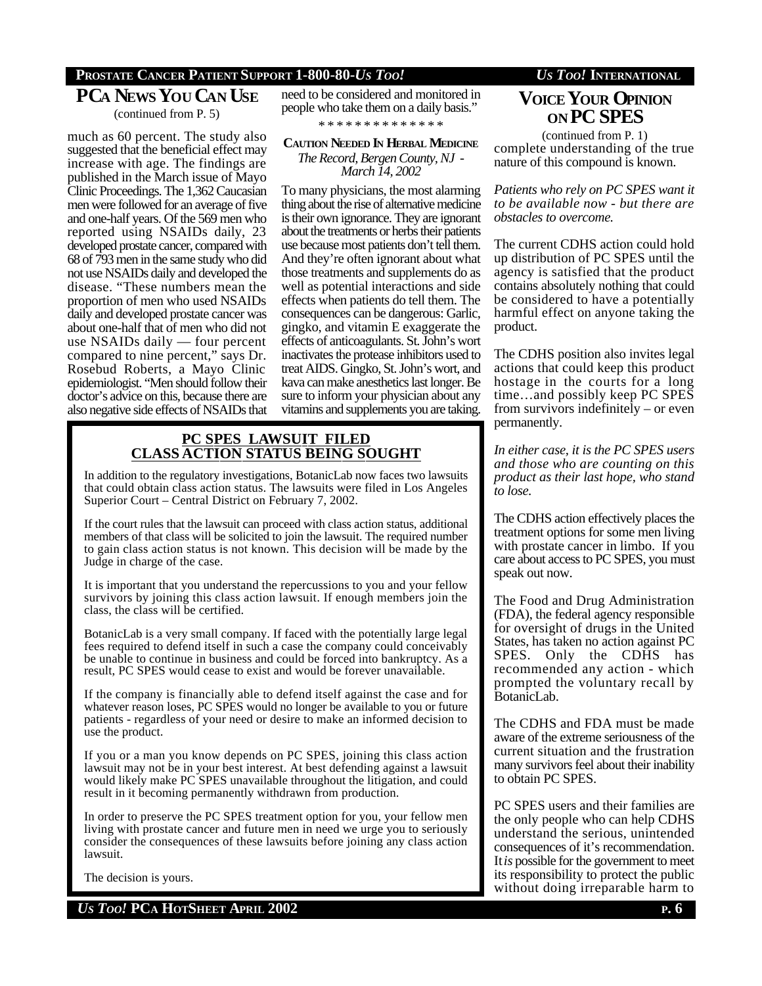### **PROSTATE CANCER PATIENT SUPPORT 1-800-80-***US TOO! US TOO!* **INTERNATIONAL**

### **PCA NEWS YOU CAN USE**

(continued from P. 5)

much as 60 percent. The study also suggested that the beneficial effect may increase with age. The findings are published in the March issue of Mayo Clinic Proceedings. The 1,362 Caucasian men were followed for an average of five and one-half years. Of the 569 men who reported using NSAIDs daily, 23 developed prostate cancer, compared with 68 of 793 men in the same study who did not use NSAIDs daily and developed the disease. "These numbers mean the proportion of men who used NSAIDs daily and developed prostate cancer was about one-half that of men who did not use NSAIDs daily — four percent compared to nine percent," says Dr. Rosebud Roberts, a Mayo Clinic epidemiologist. "Men should follow their doctor's advice on this, because there are also negative side effects of NSAIDs that need to be considered and monitored in people who take them on a daily basis."

\* \* \* \* \* \* \* \* \* \* \* \* \* \*

### **CAUTION NEEDED IN HERBAL MEDICINE**

*The Record, Bergen County, NJ - March 14, 2002*

To many physicians, the most alarming thing about the rise of alternative medicine is their own ignorance. They are ignorant about the treatments or herbs their patients use because most patients don't tell them. And they're often ignorant about what those treatments and supplements do as well as potential interactions and side effects when patients do tell them. The consequences can be dangerous: Garlic, gingko, and vitamin E exaggerate the effects of anticoagulants. St. John's wort inactivates the protease inhibitors used to treat AIDS. Gingko, St. John's wort, and kava can make anesthetics last longer. Be sure to inform your physician about any vitamins and supplements you are taking.

### **PC SPES LAWSUIT FILED CLASS ACTION STATUS BEING SOUGHT**

In addition to the regulatory investigations, BotanicLab now faces two lawsuits that could obtain class action status. The lawsuits were filed in Los Angeles Superior Court – Central District on February 7, 2002.

If the court rules that the lawsuit can proceed with class action status, additional members of that class will be solicited to join the lawsuit. The required number to gain class action status is not known. This decision will be made by the Judge in charge of the case.

It is important that you understand the repercussions to you and your fellow survivors by joining this class action lawsuit. If enough members join the class, the class will be certified.

BotanicLab is a very small company. If faced with the potentially large legal fees required to defend itself in such a case the company could conceivably be unable to continue in business and could be forced into bankruptcy. As a result, PC SPES would cease to exist and would be forever unavailable.

If the company is financially able to defend itself against the case and for whatever reason loses, PC SPES would no longer be available to you or future patients - regardless of your need or desire to make an informed decision to use the product.

If you or a man you know depends on PC SPES, joining this class action lawsuit may not be in your best interest. At best defending against a lawsuit would likely make PC SPES unavailable throughout the litigation, and could result in it becoming permanently withdrawn from production.

In order to preserve the PC SPES treatment option for you, your fellow men living with prostate cancer and future men in need we urge you to seriously consider the consequences of these lawsuits before joining any class action lawsuit.

The decision is yours.

*US TOO!* **PCA HOTSHEET APRIL 2002 P. 6**

# **VOICE YOUR OPINION ON PC SPES**

complete understanding of the true nature of this compound is known. (continued from P. 1)

*Patients who rely on PC SPES want it to be available now - but there are obstacles to overcome.*

The current CDHS action could hold up distribution of PC SPES until the agency is satisfied that the product contains absolutely nothing that could be considered to have a potentially harmful effect on anyone taking the product.

The CDHS position also invites legal actions that could keep this product hostage in the courts for a long time…and possibly keep PC SPES from survivors indefinitely – or even permanently.

*In either case, it is the PC SPES users and those who are counting on this product as their last hope, who stand to lose.*

The CDHS action effectively places the treatment options for some men living with prostate cancer in limbo. If you care about access to PC SPES, you must speak out now.

The Food and Drug Administration (FDA), the federal agency responsible for oversight of drugs in the United States, has taken no action against PC SPES. Only the CDHS has recommended any action - which prompted the voluntary recall by BotanicLab.

The CDHS and FDA must be made aware of the extreme seriousness of the current situation and the frustration many survivors feel about their inability to obtain PC SPES.

PC SPES users and their families are the only people who can help CDHS understand the serious, unintended consequences of it's recommendation. It *is* possible for the government to meet its responsibility to protect the public without doing irreparable harm to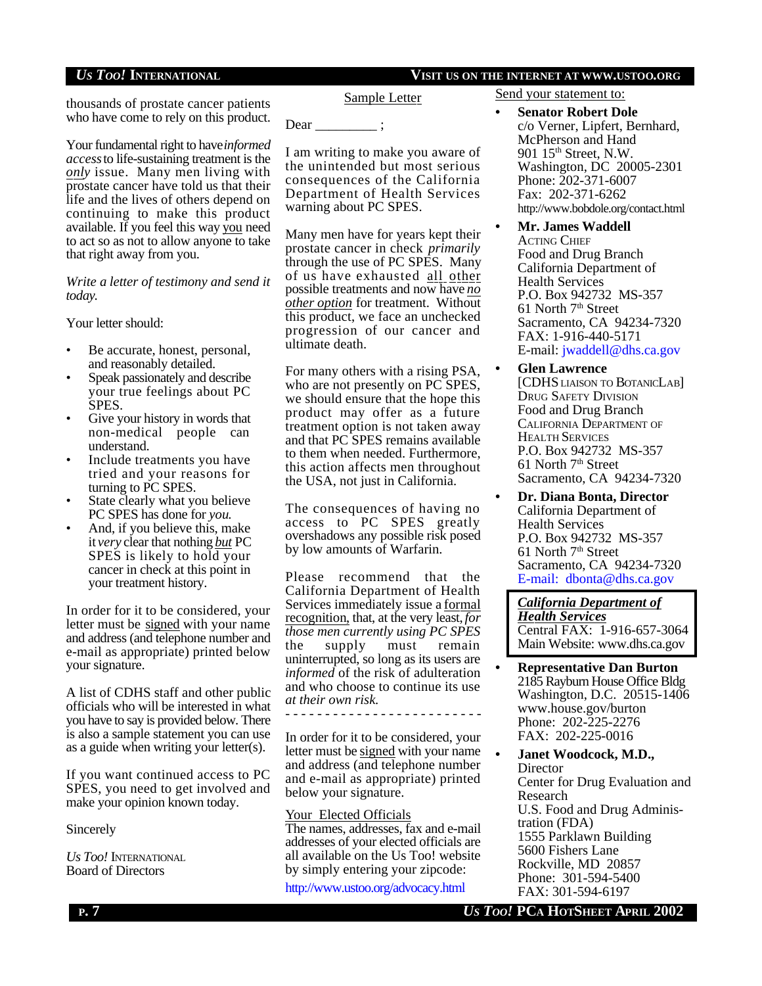*US TOO!* **INTERNATIONAL VISIT US ON THE INTERNET AT WWW.USTOO.ORG**

thousands of prostate cancer patients who have come to rely on this product.

Your fundamental right to have *informed access* to life-sustaining treatment is the *only* issue. Many men living with prostate cancer have told us that their life and the lives of others depend on continuing to make this product available. If you feel this way you need to act so as not to allow anyone to take that right away from you.

*Write a letter of testimony and send it today*.

Your letter should:

- Be accurate, honest, personal, and reasonably detailed.
- Speak passionately and describe your true feelings about PC SPES.
- Give your history in words that non-medical people can understand.
- Include treatments you have tried and your reasons for turning to PC SPES.
- State clearly what you believe PC SPES has done for *you*.
- And, if you believe this, make it *very* clear that nothing *but* PC SPES is likely to hold your cancer in check at this point in your treatment history.

In order for it to be considered, your letter must be signed with your name and address (and telephone number and e-mail as appropriate) printed below your signature.

A list of CDHS staff and other public officials who will be interested in what you have to say is provided below. There is also a sample statement you can use as a guide when writing your letter(s).

If you want continued access to PC SPES, you need to get involved and make your opinion known today.

### **Sincerely**

*Us Too!* INTERNATIONAL Board of Directors

Sample Letter

Dear \_\_\_\_\_\_\_\_\_\_;

I am writing to make you aware of the unintended but most serious consequences of the California Department of Health Services warning about PC SPES.

Many men have for years kept their prostate cancer in check *primarily* through the use of PC SPES. Many of us have exhausted all other possible treatments and now have *no other option* for treatment. Without this product, we face an unchecked progression of our cancer and ultimate death.

For many others with a rising PSA, who are not presently on PC SPES, we should ensure that the hope this product may offer as a future treatment option is not taken away and that PC SPES remains available to them when needed. Furthermore, this action affects men throughout the USA, not just in California.

The consequences of having no access to PC SPES greatly overshadows any possible risk posed by low amounts of Warfarin.

Please recommend that the California Department of Health Services immediately issue a formal recognition, that, at the very least, *for those men currently using PC SPES* the supply must remain uninterrupted, so long as its users are *informed* of the risk of adulteration and who choose to continue its use *at their own risk.*

- - - - - - - - - - - - - - - - - - - - - - - - -

In order for it to be considered, your letter must be signed with your name and address (and telephone number and e-mail as appropriate) printed below your signature.

### Your Elected Officials

The names, addresses, fax and e-mail addresses of your elected officials are all available on the Us Too! website by simply entering your zipcode:

http://www.ustoo.org/advocacy.html

Send your statement to:

**• Senator Robert Dole** c/o Verner, Lipfert, Bernhard, McPherson and Hand 901 15<sup>th</sup> Street, N.W. Washington, DC 20005-2301 Phone: 202-371-6007 Fax: 202-371-6262 http://www.bobdole.org/contact.html

**• Mr. James Waddell** ACTING CHIEF Food and Drug Branch California Department of Health Services P.O. Box 942732 MS-357 61 North 7<sup>th</sup> Street Sacramento, CA 94234-7320 FAX: 1-916-440-5171 E-mail: jwaddell@dhs.ca.gov

- **• Glen Lawrence** [CDHS LIAISON TO BOTANICLAB] DRUG SAFETY DIVISION Food and Drug Branch CALIFORNIA DEPARTMENT OF HEALTH SERVICES P.O. Box 942732 MS-357 61 North 7<sup>th</sup> Street Sacramento, CA 94234-7320
- **• Dr. Diana Bonta, Director** California Department of Health Services P.O. Box 942732 MS-357 61 North  $7<sup>th</sup>$  Street Sacramento, CA 94234-7320 E-mail: dbonta@dhs.ca.gov

*California Department of Health Services* Central FAX: 1-916-657-3064 Main Website: www.dhs.ca.gov

**• Representative Dan Burton** 2185 Rayburn House Office Bldg Washington, D.C. 20515-1406 www.house.gov/burton Phone: 202-225-2276 FAX: 202-225-0016

**• Janet Woodcock, M.D., Director** Center for Drug Evaluation and Research U.S. Food and Drug Administration (FDA) 1555 Parklawn Building 5600 Fishers Lane Rockville, MD 20857 Phone: 301-594-5400 FAX: 301-594-6197